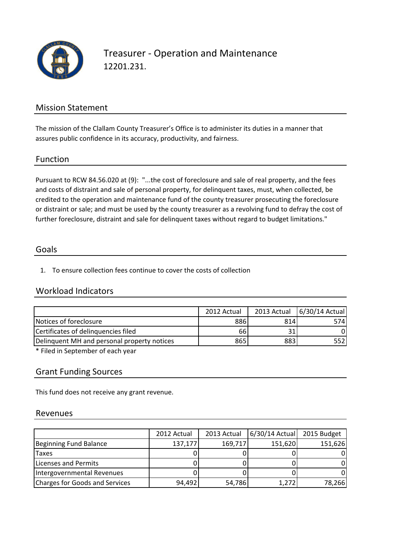

## Treasurer - Operation and Maintenance 12201.231.

## Mission Statement

The mission of the Clallam County Treasurer's Office is to administer its duties in a manner that assures public confidence in its accuracy, productivity, and fairness.

### Function

Pursuant to RCW 84.56.020 at (9): "...the cost of foreclosure and sale of real property, and the fees and costs of distraint and sale of personal property, for delinquent taxes, must, when collected, be credited to the operation and maintenance fund of the county treasurer prosecuting the foreclosure or distraint or sale; and must be used by the county treasurer as a revolving fund to defray the cost of further foreclosure, distraint and sale for delinquent taxes without regard to budget limitations."

### Goals

1. To ensure collection fees continue to cover the costs of collection

## Workload Indicators

|                                             | 2012 Actual | 2013 Actual | 6/30/14 Actual |
|---------------------------------------------|-------------|-------------|----------------|
| Notices of foreclosure                      | 886         | 814         | 574I           |
| Certificates of delinguencies filed         | 66          |             |                |
| Delinguent MH and personal property notices | 8651        | 883         | 5521           |

\* Filed in September of each year

## Grant Funding Sources

This fund does not receive any grant revenue.

### Revenues

|                                | 2012 Actual | 2013 Actual | $6/30/14$ Actual | 2015 Budget |
|--------------------------------|-------------|-------------|------------------|-------------|
| Beginning Fund Balance         | 137,177     | 169,717     | 151,620          | 151,626     |
| <b>Taxes</b>                   |             |             |                  |             |
| Licenses and Permits           |             |             |                  |             |
| Intergovernmental Revenues     |             |             |                  |             |
| Charges for Goods and Services | 94,492      | 54,786      | 1,272            | 78,266      |